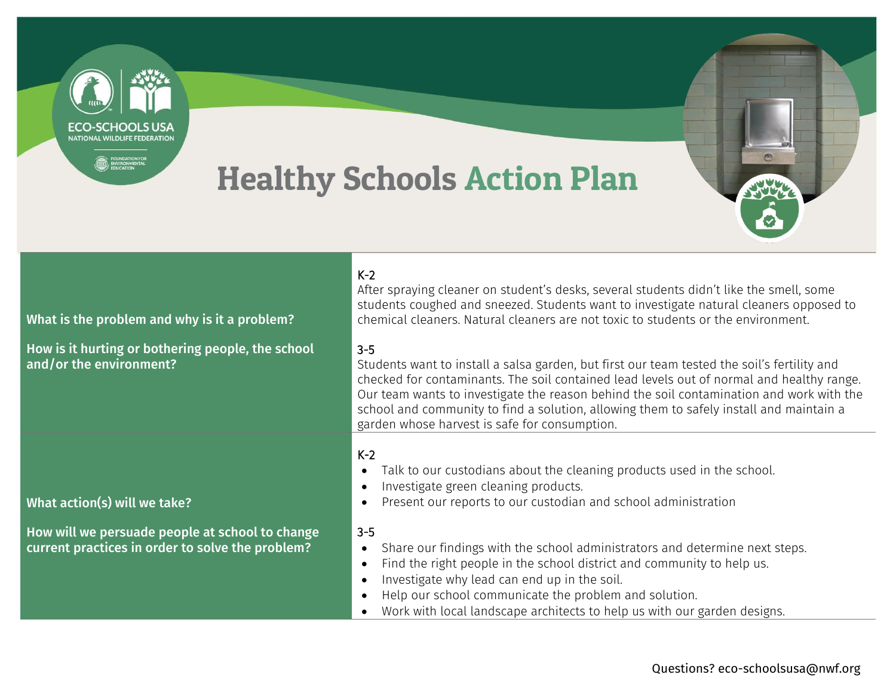## Healthy Schools Action Plan

**ECO-SCHOOLS USA** NATIONAL WILDLIFE FEDERATION

**EDUNDATION FOR**<br>EDUCATION



| What is the problem and why is it a problem?                                                        | $K-2$<br>After spraying cleaner on student's desks, several students didn't like the smell, some<br>students coughed and sneezed. Students want to investigate natural cleaners opposed to<br>chemical cleaners. Natural cleaners are not toxic to students or the environment.                                                                                                                                                             |
|-----------------------------------------------------------------------------------------------------|---------------------------------------------------------------------------------------------------------------------------------------------------------------------------------------------------------------------------------------------------------------------------------------------------------------------------------------------------------------------------------------------------------------------------------------------|
| How is it hurting or bothering people, the school<br>and/or the environment?                        | $3 - 5$<br>Students want to install a salsa garden, but first our team tested the soil's fertility and<br>checked for contaminants. The soil contained lead levels out of normal and healthy range.<br>Our team wants to investigate the reason behind the soil contamination and work with the<br>school and community to find a solution, allowing them to safely install and maintain a<br>garden whose harvest is safe for consumption. |
| What action(s) will we take?                                                                        | $K-2$<br>Talk to our custodians about the cleaning products used in the school.<br>$\bullet$<br>Investigate green cleaning products.<br>Present our reports to our custodian and school administration                                                                                                                                                                                                                                      |
| How will we persuade people at school to change<br>current practices in order to solve the problem? | $3 - 5$<br>Share our findings with the school administrators and determine next steps.<br>$\bullet$<br>Find the right people in the school district and community to help us.<br>$\bullet$<br>Investigate why lead can end up in the soil.<br>Help our school communicate the problem and solution.<br>Work with local landscape architects to help us with our garden designs.                                                             |

## Questions? [eco-schoolsusa@nwf.org](mailto:eco-schoolsusa@nwf.org)